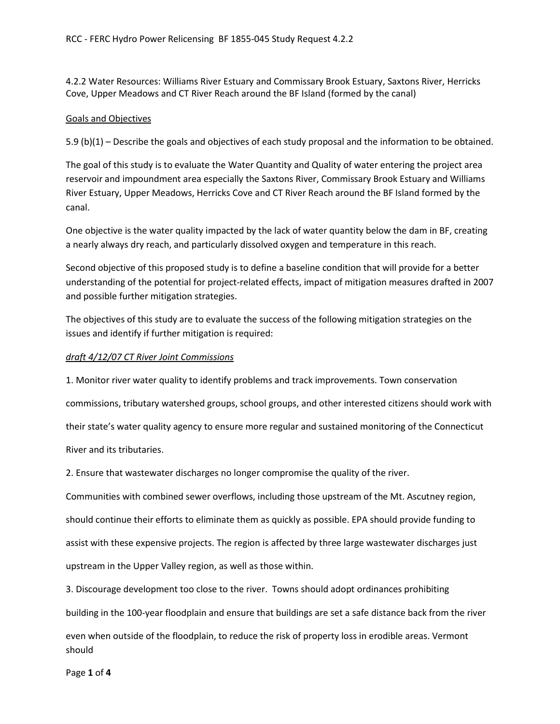4.2.2 Water Resources: Williams River Estuary and Commissary Brook Estuary, Saxtons River, Herricks Cove, Upper Meadows and CT River Reach around the BF Island (formed by the canal)

### Goals and Objectives

5.9 (b)(1) – Describe the goals and objectives of each study proposal and the information to be obtained.

The goal of this study is to evaluate the Water Quantity and Quality of water entering the project area reservoir and impoundment area especially the Saxtons River, Commissary Brook Estuary and Williams River Estuary, Upper Meadows, Herricks Cove and CT River Reach around the BF Island formed by the canal.

One objective is the water quality impacted by the lack of water quantity below the dam in BF, creating a nearly always dry reach, and particularly dissolved oxygen and temperature in this reach.

Second objective of this proposed study is to define a baseline condition that will provide for a better understanding of the potential for project-related effects, impact of mitigation measures drafted in 2007 and possible further mitigation strategies.

The objectives of this study are to evaluate the success of the following mitigation strategies on the issues and identify if further mitigation is required:

#### *draft 4/12/07 CT River Joint Commissions*

1. Monitor river water quality to identify problems and track improvements. Town conservation commissions, tributary watershed groups, school groups, and other interested citizens should work with their state's water quality agency to ensure more regular and sustained monitoring of the Connecticut River and its tributaries.

2. Ensure that wastewater discharges no longer compromise the quality of the river.

Communities with combined sewer overflows, including those upstream of the Mt. Ascutney region, should continue their efforts to eliminate them as quickly as possible. EPA should provide funding to assist with these expensive projects. The region is affected by three large wastewater discharges just upstream in the Upper Valley region, as well as those within.

3. Discourage development too close to the river. Towns should adopt ordinances prohibiting

building in the 100-year floodplain and ensure that buildings are set a safe distance back from the river

even when outside of the floodplain, to reduce the risk of property loss in erodible areas. Vermont should

Page **1** of **4**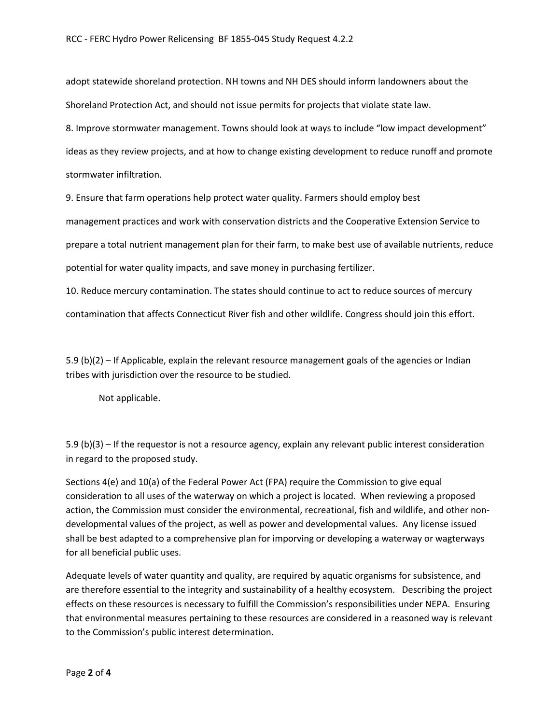adopt statewide shoreland protection. NH towns and NH DES should inform landowners about the Shoreland Protection Act, and should not issue permits for projects that violate state law.

8. Improve stormwater management. Towns should look at ways to include "low impact development"

ideas as they review projects, and at how to change existing development to reduce runoff and promote stormwater infiltration.

9. Ensure that farm operations help protect water quality. Farmers should employ best

management practices and work with conservation districts and the Cooperative Extension Service to

prepare a total nutrient management plan for their farm, to make best use of available nutrients, reduce

potential for water quality impacts, and save money in purchasing fertilizer.

10. Reduce mercury contamination. The states should continue to act to reduce sources of mercury contamination that affects Connecticut River fish and other wildlife. Congress should join this effort.

5.9 (b)(2) – If Applicable, explain the relevant resource management goals of the agencies or Indian tribes with jurisdiction over the resource to be studied.

Not applicable.

5.9 (b)(3) – If the requestor is not a resource agency, explain any relevant public interest consideration in regard to the proposed study.

Sections 4(e) and 10(a) of the Federal Power Act (FPA) require the Commission to give equal consideration to all uses of the waterway on which a project is located. When reviewing a proposed action, the Commission must consider the environmental, recreational, fish and wildlife, and other nondevelopmental values of the project, as well as power and developmental values. Any license issued shall be best adapted to a comprehensive plan for imporving or developing a waterway or wagterways for all beneficial public uses.

Adequate levels of water quantity and quality, are required by aquatic organisms for subsistence, and are therefore essential to the integrity and sustainability of a healthy ecosystem. Describing the project effects on these resources is necessary to fulfill the Commission's responsibilities under NEPA. Ensuring that environmental measures pertaining to these resources are considered in a reasoned way is relevant to the Commission's public interest determination.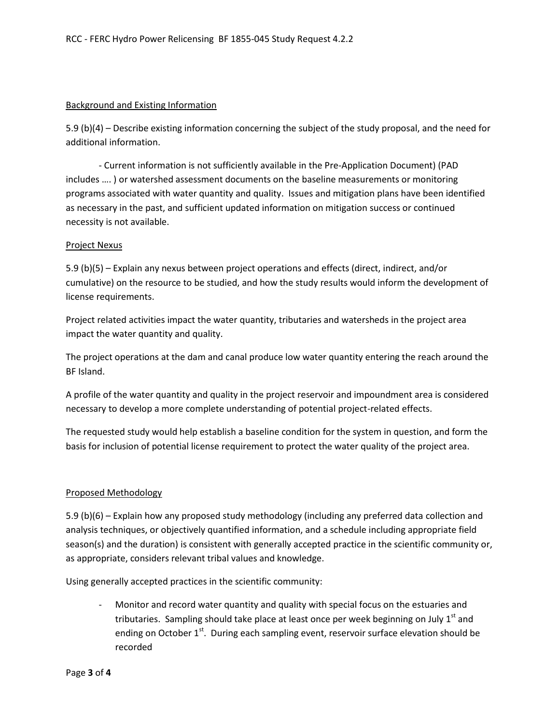#### Background and Existing Information

5.9 (b)(4) – Describe existing information concerning the subject of the study proposal, and the need for additional information.

- Current information is not sufficiently available in the Pre-Application Document) (PAD includes …. ) or watershed assessment documents on the baseline measurements or monitoring programs associated with water quantity and quality. Issues and mitigation plans have been identified as necessary in the past, and sufficient updated information on mitigation success or continued necessity is not available.

#### Project Nexus

5.9 (b)(5) – Explain any nexus between project operations and effects (direct, indirect, and/or cumulative) on the resource to be studied, and how the study results would inform the development of license requirements.

Project related activities impact the water quantity, tributaries and watersheds in the project area impact the water quantity and quality.

The project operations at the dam and canal produce low water quantity entering the reach around the BF Island.

A profile of the water quantity and quality in the project reservoir and impoundment area is considered necessary to develop a more complete understanding of potential project-related effects.

The requested study would help establish a baseline condition for the system in question, and form the basis for inclusion of potential license requirement to protect the water quality of the project area.

## Proposed Methodology

5.9 (b)(6) – Explain how any proposed study methodology (including any preferred data collection and analysis techniques, or objectively quantified information, and a schedule including appropriate field season(s) and the duration) is consistent with generally accepted practice in the scientific community or, as appropriate, considers relevant tribal values and knowledge.

Using generally accepted practices in the scientific community:

- Monitor and record water quantity and quality with special focus on the estuaries and tributaries. Sampling should take place at least once per week beginning on July  $1<sup>st</sup>$  and ending on October  $1<sup>st</sup>$ . During each sampling event, reservoir surface elevation should be recorded